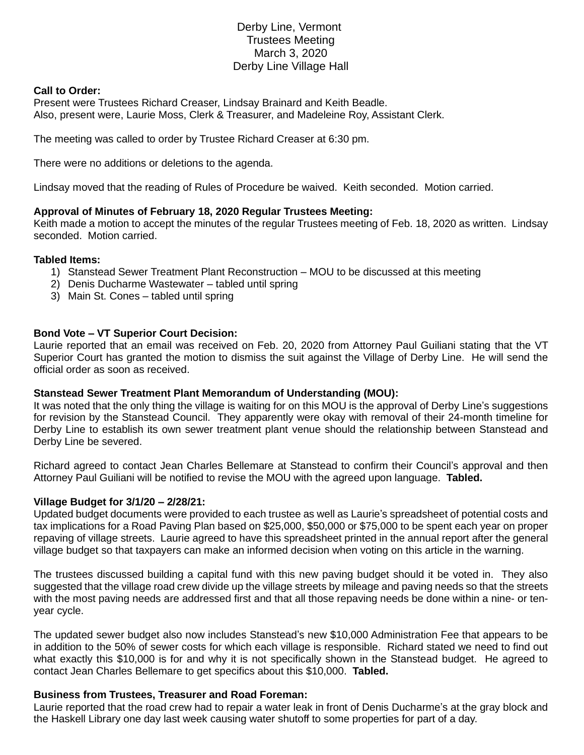# Derby Line, Vermont Trustees Meeting March 3, 2020 Derby Line Village Hall

## **Call to Order:**

Present were Trustees Richard Creaser, Lindsay Brainard and Keith Beadle. Also, present were, Laurie Moss, Clerk & Treasurer, and Madeleine Roy, Assistant Clerk.

The meeting was called to order by Trustee Richard Creaser at 6:30 pm.

There were no additions or deletions to the agenda.

Lindsay moved that the reading of Rules of Procedure be waived. Keith seconded. Motion carried.

## **Approval of Minutes of February 18, 2020 Regular Trustees Meeting:**

Keith made a motion to accept the minutes of the regular Trustees meeting of Feb. 18, 2020 as written. Lindsay seconded. Motion carried.

### **Tabled Items:**

- 1) Stanstead Sewer Treatment Plant Reconstruction MOU to be discussed at this meeting
- 2) Denis Ducharme Wastewater tabled until spring
- 3) Main St. Cones tabled until spring

## **Bond Vote – VT Superior Court Decision:**

Laurie reported that an email was received on Feb. 20, 2020 from Attorney Paul Guiliani stating that the VT Superior Court has granted the motion to dismiss the suit against the Village of Derby Line. He will send the official order as soon as received.

### **Stanstead Sewer Treatment Plant Memorandum of Understanding (MOU):**

It was noted that the only thing the village is waiting for on this MOU is the approval of Derby Line's suggestions for revision by the Stanstead Council. They apparently were okay with removal of their 24-month timeline for Derby Line to establish its own sewer treatment plant venue should the relationship between Stanstead and Derby Line be severed.

Richard agreed to contact Jean Charles Bellemare at Stanstead to confirm their Council's approval and then Attorney Paul Guiliani will be notified to revise the MOU with the agreed upon language. **Tabled.**

### **Village Budget for 3/1/20 – 2/28/21:**

Updated budget documents were provided to each trustee as well as Laurie's spreadsheet of potential costs and tax implications for a Road Paving Plan based on \$25,000, \$50,000 or \$75,000 to be spent each year on proper repaving of village streets. Laurie agreed to have this spreadsheet printed in the annual report after the general village budget so that taxpayers can make an informed decision when voting on this article in the warning.

The trustees discussed building a capital fund with this new paving budget should it be voted in. They also suggested that the village road crew divide up the village streets by mileage and paving needs so that the streets with the most paving needs are addressed first and that all those repaving needs be done within a nine- or tenyear cycle.

The updated sewer budget also now includes Stanstead's new \$10,000 Administration Fee that appears to be in addition to the 50% of sewer costs for which each village is responsible. Richard stated we need to find out what exactly this \$10,000 is for and why it is not specifically shown in the Stanstead budget. He agreed to contact Jean Charles Bellemare to get specifics about this \$10,000. **Tabled.**

## **Business from Trustees, Treasurer and Road Foreman:**

Laurie reported that the road crew had to repair a water leak in front of Denis Ducharme's at the gray block and the Haskell Library one day last week causing water shutoff to some properties for part of a day.